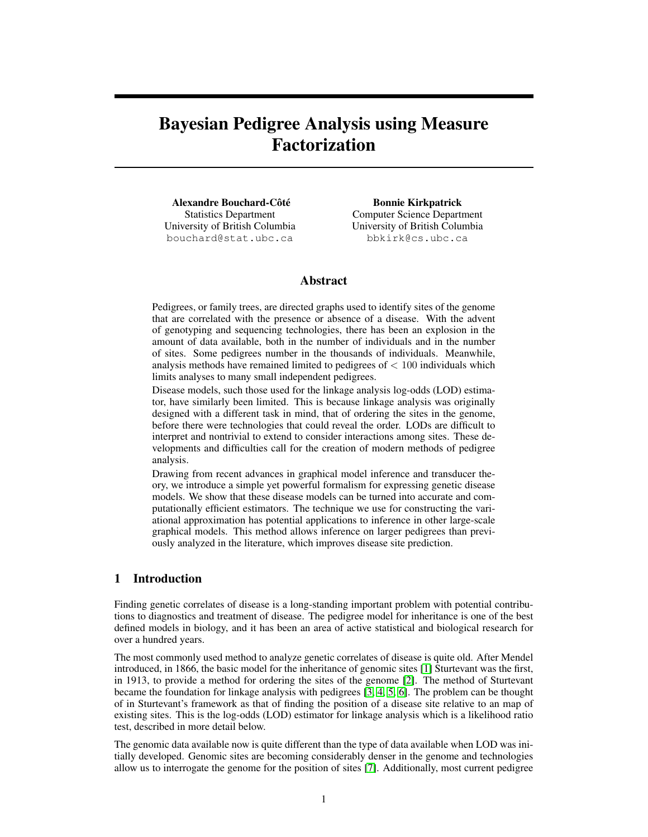# Bayesian Pedigree Analysis using Measure Factorization

Alexandre Bouchard-Côté Statistics Department University of British Columbia bouchard@stat.ubc.ca

Bonnie Kirkpatrick Computer Science Department University of British Columbia bbkirk@cs.ubc.ca

#### Abstract

Pedigrees, or family trees, are directed graphs used to identify sites of the genome that are correlated with the presence or absence of a disease. With the advent of genotyping and sequencing technologies, there has been an explosion in the amount of data available, both in the number of individuals and in the number of sites. Some pedigrees number in the thousands of individuals. Meanwhile, analysis methods have remained limited to pedigrees of  $< 100$  individuals which limits analyses to many small independent pedigrees.

Disease models, such those used for the linkage analysis log-odds (LOD) estimator, have similarly been limited. This is because linkage analysis was originally designed with a different task in mind, that of ordering the sites in the genome, before there were technologies that could reveal the order. LODs are difficult to interpret and nontrivial to extend to consider interactions among sites. These developments and difficulties call for the creation of modern methods of pedigree analysis.

Drawing from recent advances in graphical model inference and transducer theory, we introduce a simple yet powerful formalism for expressing genetic disease models. We show that these disease models can be turned into accurate and computationally efficient estimators. The technique we use for constructing the variational approximation has potential applications to inference in other large-scale graphical models. This method allows inference on larger pedigrees than previously analyzed in the literature, which improves disease site prediction.

## 1 Introduction

Finding genetic correlates of disease is a long-standing important problem with potential contributions to diagnostics and treatment of disease. The pedigree model for inheritance is one of the best defined models in biology, and it has been an area of active statistical and biological research for over a hundred years.

The most commonly used method to analyze genetic correlates of disease is quite old. After Mendel introduced, in 1866, the basic model for the inheritance of genomic sites [1] Sturtevant was the first, in 1913, to provide a method for ordering the sites of the genome [2]. The method of Sturtevant became the foundation for linkage analysis with pedigrees [3, 4, 5, 6]. The problem can be thought of in Sturtevant's framework as that of finding the position of a disease site relative to an map of existing sites. This is the log-odds (LOD) estimator for linkage analysis which is a likelihood ratio test, described in more detail below.

The genomic data available now is quite different than the type of data available when LOD was initially developed. Genomic sites are becoming considerably denser in the genome and technologies allow us to interrogate the genome for the position of sites [7]. Additionally, most current pedigree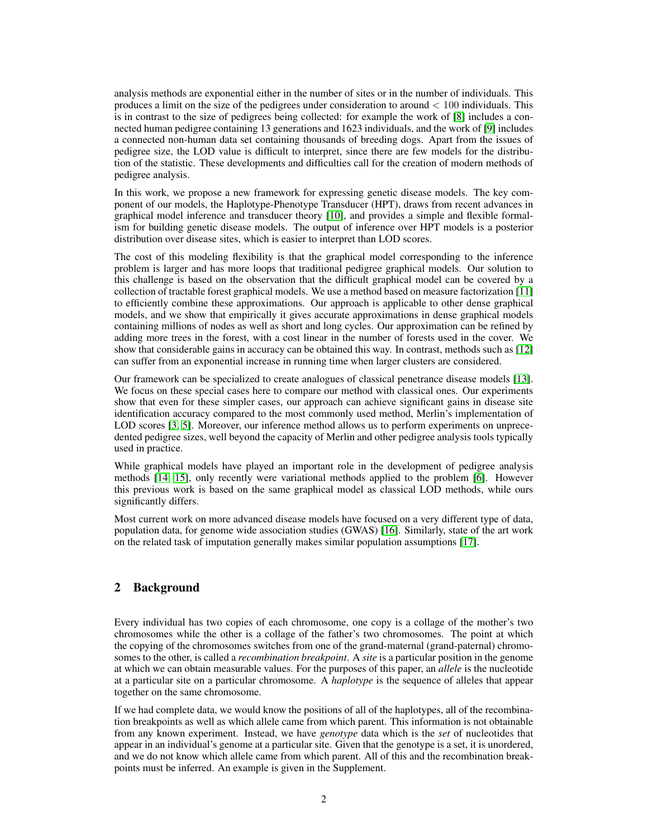analysis methods are exponential either in the number of sites or in the number of individuals. This produces a limit on the size of the pedigrees under consideration to around < 100 individuals. This is in contrast to the size of pedigrees being collected: for example the work of [8] includes a connected human pedigree containing 13 generations and 1623 individuals, and the work of [9] includes a connected non-human data set containing thousands of breeding dogs. Apart from the issues of pedigree size, the LOD value is difficult to interpret, since there are few models for the distribution of the statistic. These developments and difficulties call for the creation of modern methods of pedigree analysis.

In this work, we propose a new framework for expressing genetic disease models. The key component of our models, the Haplotype-Phenotype Transducer (HPT), draws from recent advances in graphical model inference and transducer theory [10], and provides a simple and flexible formalism for building genetic disease models. The output of inference over HPT models is a posterior distribution over disease sites, which is easier to interpret than LOD scores.

The cost of this modeling flexibility is that the graphical model corresponding to the inference problem is larger and has more loops that traditional pedigree graphical models. Our solution to this challenge is based on the observation that the difficult graphical model can be covered by a collection of tractable forest graphical models. We use a method based on measure factorization [11] to efficiently combine these approximations. Our approach is applicable to other dense graphical models, and we show that empirically it gives accurate approximations in dense graphical models containing millions of nodes as well as short and long cycles. Our approximation can be refined by adding more trees in the forest, with a cost linear in the number of forests used in the cover. We show that considerable gains in accuracy can be obtained this way. In contrast, methods such as [12] can suffer from an exponential increase in running time when larger clusters are considered.

Our framework can be specialized to create analogues of classical penetrance disease models [13]. We focus on these special cases here to compare our method with classical ones. Our experiments show that even for these simpler cases, our approach can achieve significant gains in disease site identification accuracy compared to the most commonly used method, Merlin's implementation of LOD scores [3, 5]. Moreover, our inference method allows us to perform experiments on unprecedented pedigree sizes, well beyond the capacity of Merlin and other pedigree analysis tools typically used in practice.

While graphical models have played an important role in the development of pedigree analysis methods [14, 15], only recently were variational methods applied to the problem [6]. However this previous work is based on the same graphical model as classical LOD methods, while ours significantly differs.

Most current work on more advanced disease models have focused on a very different type of data, population data, for genome wide association studies (GWAS) [16]. Similarly, state of the art work on the related task of imputation generally makes similar population assumptions [17].

## 2 Background

Every individual has two copies of each chromosome, one copy is a collage of the mother's two chromosomes while the other is a collage of the father's two chromosomes. The point at which the copying of the chromosomes switches from one of the grand-maternal (grand-paternal) chromosomes to the other, is called a *recombination breakpoint*. A *site* is a particular position in the genome at which we can obtain measurable values. For the purposes of this paper, an *allele* is the nucleotide at a particular site on a particular chromosome. A *haplotype* is the sequence of alleles that appear together on the same chromosome.

If we had complete data, we would know the positions of all of the haplotypes, all of the recombination breakpoints as well as which allele came from which parent. This information is not obtainable from any known experiment. Instead, we have *genotype* data which is the *set* of nucleotides that appear in an individual's genome at a particular site. Given that the genotype is a set, it is unordered, and we do not know which allele came from which parent. All of this and the recombination breakpoints must be inferred. An example is given in the Supplement.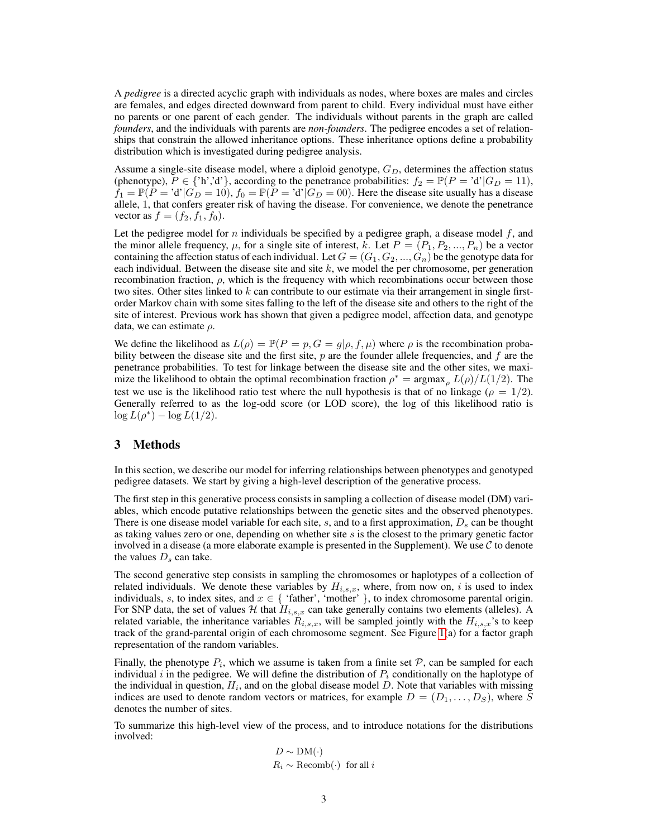A *pedigree* is a directed acyclic graph with individuals as nodes, where boxes are males and circles are females, and edges directed downward from parent to child. Every individual must have either no parents or one parent of each gender. The individuals without parents in the graph are called *founders*, and the individuals with parents are *non-founders*. The pedigree encodes a set of relationships that constrain the allowed inheritance options. These inheritance options define a probability distribution which is investigated during pedigree analysis.

Assume a single-site disease model, where a diploid genotype,  $G_D$ , determines the affection status (phenotype),  $P \in \{h', d'\}$ , according to the penetrance probabilities:  $f_2 = \mathbb{P}(P = d'|G_D = 11)$ ,  $f_1 = \mathbb{P}(P = 'd'|G_D = 10)$ ,  $f_0 = \mathbb{P}(P = 'd'|G_D = 00)$ . Here the disease site usually has a disease allele, 1, that confers greater risk of having the disease. For convenience, we denote the penetrance vector as  $f = (f_2, f_1, f_0)$ .

Let the pedigree model for n individuals be specified by a pedigree graph, a disease model  $f$ , and the minor allele frequency,  $\mu$ , for a single site of interest, k. Let  $P = (P_1, P_2, ..., P_n)$  be a vector containing the affection status of each individual. Let  $G = (G_1, G_2, ..., G_n)$  be the genotype data for each individual. Between the disease site and site  $k$ , we model the per chromosome, per generation recombination fraction,  $\rho$ , which is the frequency with which recombinations occur between those two sites. Other sites linked to k can contribute to our estimate via their arrangement in single firstorder Markov chain with some sites falling to the left of the disease site and others to the right of the site of interest. Previous work has shown that given a pedigree model, affection data, and genotype data, we can estimate  $\rho$ .

We define the likelihood as  $L(\rho) = \mathbb{P}(P = p, G = g | \rho, f, \mu)$  where  $\rho$  is the recombination probability between the disease site and the first site,  $p$  are the founder allele frequencies, and  $f$  are the penetrance probabilities. To test for linkage between the disease site and the other sites, we maximize the likelihood to obtain the optimal recombination fraction  $\rho^* = \argmax_{\rho} L(\rho)/L(1/2)$ . The test we use is the likelihood ratio test where the null hypothesis is that of no linkage ( $\rho = 1/2$ ). Generally referred to as the log-odd score (or LOD score), the log of this likelihood ratio is  $\log L(\rho^*) - \log L(1/2).$ 

## 3 Methods

In this section, we describe our model for inferring relationships between phenotypes and genotyped pedigree datasets. We start by giving a high-level description of the generative process.

The first step in this generative process consists in sampling a collection of disease model (DM) variables, which encode putative relationships between the genetic sites and the observed phenotypes. There is one disease model variable for each site,  $s$ , and to a first approximation,  $D_s$  can be thought as taking values zero or one, depending on whether site  $s$  is the closest to the primary genetic factor involved in a disease (a more elaborate example is presented in the Supplement). We use  $\mathcal C$  to denote the values  $D_s$  can take.

The second generative step consists in sampling the chromosomes or haplotypes of a collection of related individuals. We denote these variables by  $H_{i,s,x}$ , where, from now on, i is used to index individuals, s, to index sites, and  $x \in \{$  'father', 'mother' }, to index chromosome parental origin. For SNP data, the set of values  $H$  that  $H_{i,s,x}$  can take generally contains two elements (alleles). A related variable, the inheritance variables  $R_{i,s,x}$ , will be sampled jointly with the  $H_{i,s,x}$ 's to keep track of the grand-parental origin of each chromosome segment. See Figure 1(a) for a factor graph representation of the random variables.

Finally, the phenotype  $P_i$ , which we assume is taken from a finite set  $P$ , can be sampled for each individual i in the pedigree. We will define the distribution of  $P_i$  conditionally on the haplotype of the individual in question,  $H_i$ , and on the global disease model  $D$ . Note that variables with missing indices are used to denote random vectors or matrices, for example  $D = (D_1, \ldots, D_S)$ , where S denotes the number of sites.

To summarize this high-level view of the process, and to introduce notations for the distributions involved:

$$
D \sim \text{DM}(\cdot)
$$
  

$$
R_i \sim \text{Recomb}(\cdot) \text{ for all } i
$$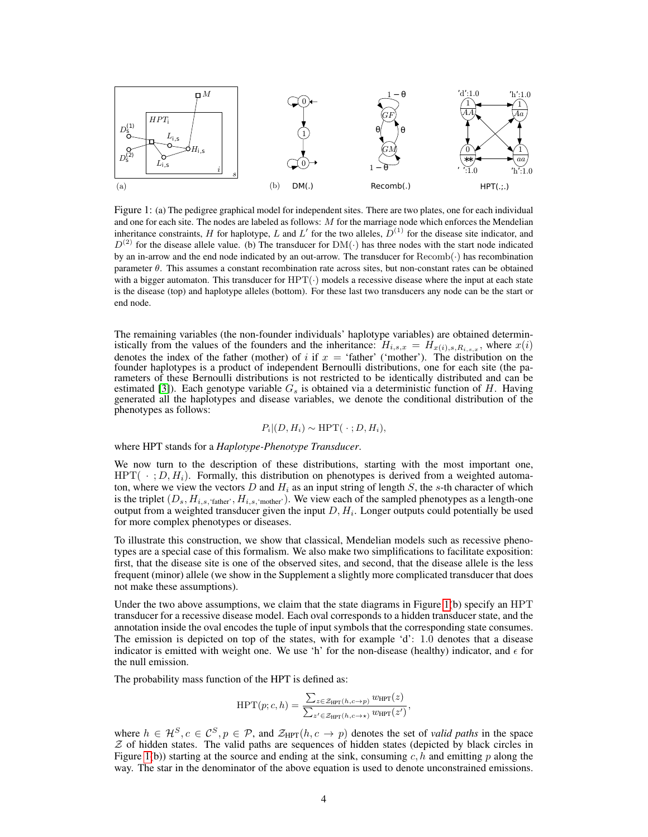

Figure 1: (a) The pedigree graphical model for independent sites. There are two plates, one for each individual and one for each site. The nodes are labeled as follows: M for the marriage node which enforces the Mendelian inheritance constraints, H for haplotype, L and L' for the two alleles,  $D^{(1)}$  for the disease site indicator, and  $D^{(2)}$  for the disease allele value. (b) The transducer for  $DM(\cdot)$  has three nodes with the start node indicated by an in-arrow and the end node indicated by an out-arrow. The transducer for  $\text{Recomb}(\cdot)$  has recombination parameter θ. This assumes a constant recombination rate across sites, but non-constant rates can be obtained with a bigger automaton. This transducer for  $HPT(\cdot)$  models a recessive disease where the input at each state is the disease (top) and haplotype alleles (bottom). For these last two transducers any node can be the start or end node.

The remaining variables (the non-founder individuals' haplotype variables) are obtained deterministically from the values of the founders and the inheritance:  $H_{i,s,x} = H_{x(i),s,R_{i,s,x}}$ , where  $x(i)$ denotes the index of the father (mother) of i if  $x =$  'father' ('mother'). The distribution on the founder haplotypes is a product of independent Bernoulli distributions, one for each site (the parameters of these Bernoulli distributions is not restricted to be identically distributed and can be estimated [3]). Each genotype variable  $G<sub>s</sub>$  is obtained via a deterministic function of H. Having generated all the haplotypes and disease variables, we denote the conditional distribution of the phenotypes as follows:

$$
P_i|(D, H_i) \sim \text{HPT}(\cdot ; D, H_i),
$$

where HPT stands for a *Haplotype-Phenotype Transducer*.

We now turn to the description of these distributions, starting with the most important one,  $HPT(·; D, H<sub>i</sub>)$ . Formally, this distribution on phenotypes is derived from a weighted automaton, where we view the vectors D and  $H_i$  as an input string of length S, the s-th character of which is the triplet  $(D_s, H_{i,s, 'father'}, H_{i,s, 'mother'})$ . We view each of the sampled phenotypes as a length-one output from a weighted transducer given the input  $D, H_i$ . Longer outputs could potentially be used for more complex phenotypes or diseases.

To illustrate this construction, we show that classical, Mendelian models such as recessive phenotypes are a special case of this formalism. We also make two simplifications to facilitate exposition: first, that the disease site is one of the observed sites, and second, that the disease allele is the less frequent (minor) allele (we show in the Supplement a slightly more complicated transducer that does not make these assumptions).

Under the two above assumptions, we claim that the state diagrams in Figure 1(b) specify an HPT transducer for a recessive disease model. Each oval corresponds to a hidden transducer state, and the annotation inside the oval encodes the tuple of input symbols that the corresponding state consumes. The emission is depicted on top of the states, with for example 'd': 1.0 denotes that a disease indicator is emitted with weight one. We use 'h' for the non-disease (healthy) indicator, and  $\epsilon$  for the null emission.

The probability mass function of the HPT is defined as:

$$
\text{HPT}(p;c,h) = \frac{\sum_{z \in \mathcal{Z}_{\text{HPT}}(h,c \to p)} w_{\text{HPT}}(z)}{\sum_{z' \in \mathcal{Z}_{\text{HPT}}(h,c \to \star)} w_{\text{HPT}}(z')},
$$

where  $h \in \mathcal{H}^S$ ,  $c \in \mathcal{C}^S$ ,  $p \in \mathcal{P}$ , and  $\mathcal{Z}_{\text{HPT}}(h, c \to p)$  denotes the set of *valid paths* in the space  $Z$  of hidden states. The valid paths are sequences of hidden states (depicted by black circles in Figure 1(b)) starting at the source and ending at the sink, consuming  $c, h$  and emitting p along the way. The star in the denominator of the above equation is used to denote unconstrained emissions.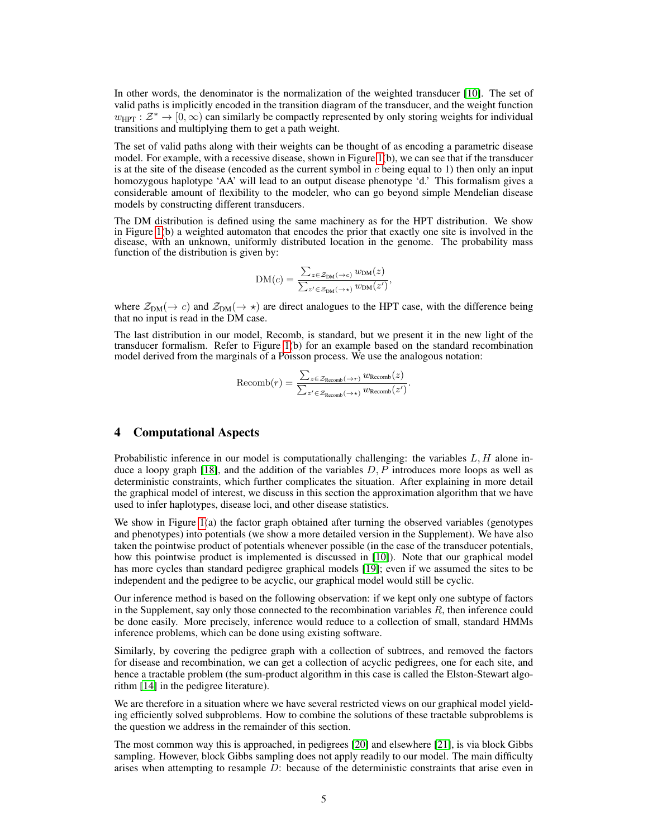In other words, the denominator is the normalization of the weighted transducer [10]. The set of valid paths is implicitly encoded in the transition diagram of the transducer, and the weight function  $w_{\text{HPT}}: \mathcal{Z}^* \to [0,\infty)$  can similarly be compactly represented by only storing weights for individual transitions and multiplying them to get a path weight.

The set of valid paths along with their weights can be thought of as encoding a parametric disease model. For example, with a recessive disease, shown in Figure 1(b), we can see that if the transducer is at the site of the disease (encoded as the current symbol in  $c$  being equal to 1) then only an input homozygous haplotype 'AA' will lead to an output disease phenotype 'd.' This formalism gives a considerable amount of flexibility to the modeler, who can go beyond simple Mendelian disease models by constructing different transducers.

The DM distribution is defined using the same machinery as for the HPT distribution. We show in Figure 1(b) a weighted automaton that encodes the prior that exactly one site is involved in the disease, with an unknown, uniformly distributed location in the genome. The probability mass function of the distribution is given by:

$$
DM(c) = \frac{\sum_{z \in \mathcal{Z}_{DM}(\to c)} w_{DM}(z)}{\sum_{z' \in \mathcal{Z}_{DM}(\to \star)} w_{DM}(z')},
$$

where  $\mathcal{Z}_{DM}(\rightarrow c)$  and  $\mathcal{Z}_{DM}(\rightarrow \star)$  are direct analogues to the HPT case, with the difference being that no input is read in the DM case.

The last distribution in our model, Recomb, is standard, but we present it in the new light of the transducer formalism. Refer to Figure 1(b) for an example based on the standard recombination model derived from the marginals of a Poisson process. We use the analogous notation:

$$
\text{Recomb}(r) = \frac{\sum_{z \in \mathcal{Z}_{\text{Recomb}}(r \to r)} w_{\text{Recomb}}(z)}{\sum_{z' \in \mathcal{Z}_{\text{Recomb}}(r \to r)} w_{\text{Recomb}}(z')}.
$$

### 4 Computational Aspects

Probabilistic inference in our model is computationally challenging: the variables  $L, H$  alone induce a loopy graph [18], and the addition of the variables  $D, P$  introduces more loops as well as deterministic constraints, which further complicates the situation. After explaining in more detail the graphical model of interest, we discuss in this section the approximation algorithm that we have used to infer haplotypes, disease loci, and other disease statistics.

We show in Figure 1(a) the factor graph obtained after turning the observed variables (genotypes and phenotypes) into potentials (we show a more detailed version in the Supplement). We have also taken the pointwise product of potentials whenever possible (in the case of the transducer potentials, how this pointwise product is implemented is discussed in [10]). Note that our graphical model has more cycles than standard pedigree graphical models [19]; even if we assumed the sites to be independent and the pedigree to be acyclic, our graphical model would still be cyclic.

Our inference method is based on the following observation: if we kept only one subtype of factors in the Supplement, say only those connected to the recombination variables  $R$ , then inference could be done easily. More precisely, inference would reduce to a collection of small, standard HMMs inference problems, which can be done using existing software.

Similarly, by covering the pedigree graph with a collection of subtrees, and removed the factors for disease and recombination, we can get a collection of acyclic pedigrees, one for each site, and hence a tractable problem (the sum-product algorithm in this case is called the Elston-Stewart algorithm [14] in the pedigree literature).

We are therefore in a situation where we have several restricted views on our graphical model yielding efficiently solved subproblems. How to combine the solutions of these tractable subproblems is the question we address in the remainder of this section.

The most common way this is approached, in pedigrees [20] and elsewhere [21], is via block Gibbs sampling. However, block Gibbs sampling does not apply readily to our model. The main difficulty arises when attempting to resample  $D$ : because of the deterministic constraints that arise even in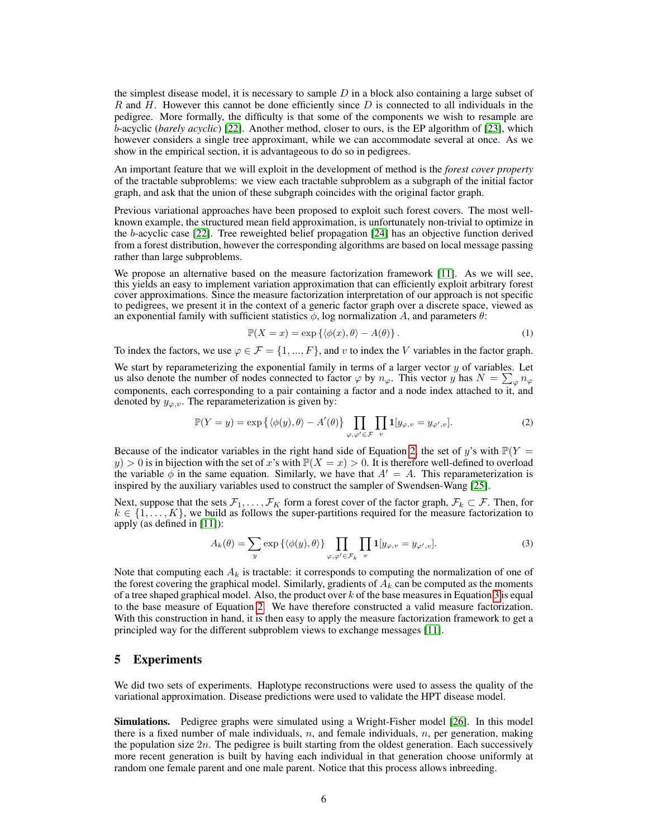the simplest disease model, it is necessary to sample  $D$  in a block also containing a large subset of R and H. However this cannot be done efficiently since  $D$  is connected to all individuals in the pedigree. More formally, the difficulty is that some of the components we wish to resample are b-acyclic (*barely acyclic*) [22]. Another method, closer to ours, is the EP algorithm of [23], which however considers a single tree approximant, while we can accommodate several at once. As we show in the empirical section, it is advantageous to do so in pedigrees.

An important feature that we will exploit in the development of method is the *forest cover property* of the tractable subproblems: we view each tractable subproblem as a subgraph of the initial factor graph, and ask that the union of these subgraph coincides with the original factor graph.

Previous variational approaches have been proposed to exploit such forest covers. The most wellknown example, the structured mean field approximation, is unfortunately non-trivial to optimize in the b-acyclic case [22]. Tree reweighted belief propagation [24] has an objective function derived from a forest distribution, however the corresponding algorithms are based on local message passing rather than large subproblems.

We propose an alternative based on the measure factorization framework [11]. As we will see, this yields an easy to implement variation approximation that can efficiently exploit arbitrary forest cover approximations. Since the measure factorization interpretation of our approach is not specific to pedigrees, we present it in the context of a generic factor graph over a discrete space, viewed as an exponential family with sufficient statistics  $\phi$ , log normalization A, and parameters  $\theta$ :

$$
\mathbb{P}(X = x) = \exp\{\langle \phi(x), \theta \rangle - A(\theta)\}.
$$
 (1)

To index the factors, we use  $\varphi \in \mathcal{F} = \{1, ..., F\}$ , and v to index the V variables in the factor graph.

We start by reparameterizing the exponential family in terms of a larger vector  $y$  of variables. Let us also denote the number of nodes connected to factor  $\varphi$  by  $n_{\varphi}$ . This vector y has  $N = \sum_{\varphi} n_{\varphi}$ components, each corresponding to a pair containing a factor and a node index attached to it, and denoted by  $y_{\varphi,v}$ . The reparameterization is given by:

$$
\mathbb{P}(Y = y) = \exp\left\{ \langle \phi(y), \theta \rangle - A'(\theta) \right\} \prod_{\varphi, \varphi' \in \mathcal{F}} \prod_{v} \mathbf{1}[y_{\varphi, v} = y_{\varphi', v}].
$$
 (2)

Because of the indicator variables in the right hand side of Equation 2, the set of y's with  $P(Y =$  $y$ )  $> 0$  is in bijection with the set of x's with  $\mathbb{P}(X = x) > 0$ . It is therefore well-defined to overload the variable  $\phi$  in the same equation. Similarly, we have that  $A' = A$ . This reparameterization is inspired by the auxiliary variables used to construct the sampler of Swendsen-Wang [25].

Next, suppose that the sets  $\mathcal{F}_1, \ldots, \mathcal{F}_K$  form a forest cover of the factor graph,  $\mathcal{F}_k \subset \mathcal{F}$ . Then, for  $k \in \{1, \ldots, K\}$ , we build as follows the super-partitions required for the measure factorization to apply (as defined in [11]):

$$
A_k(\theta) = \sum_{y} \exp \{ \langle \phi(y), \theta \rangle \} \prod_{\varphi, \varphi' \in \mathcal{F}_k} \prod_{v} \mathbf{1}[y_{\varphi, v} = y_{\varphi', v}].
$$
 (3)

Note that computing each  $A_k$  is tractable: it corresponds to computing the normalization of one of the forest covering the graphical model. Similarly, gradients of  $A_k$  can be computed as the moments of a tree shaped graphical model. Also, the product over  $k$  of the base measures in Equation 3 is equal to the base measure of Equation 2. We have therefore constructed a valid measure factorization. With this construction in hand, it is then easy to apply the measure factorization framework to get a principled way for the different subproblem views to exchange messages [11].

## 5 Experiments

We did two sets of experiments. Haplotype reconstructions were used to assess the quality of the variational approximation. Disease predictions were used to validate the HPT disease model.

Simulations. Pedigree graphs were simulated using a Wright-Fisher model [26]. In this model there is a fixed number of male individuals,  $n$ , and female individuals,  $n$ , per generation, making the population size  $2n$ . The pedigree is built starting from the oldest generation. Each successively more recent generation is built by having each individual in that generation choose uniformly at random one female parent and one male parent. Notice that this process allows inbreeding.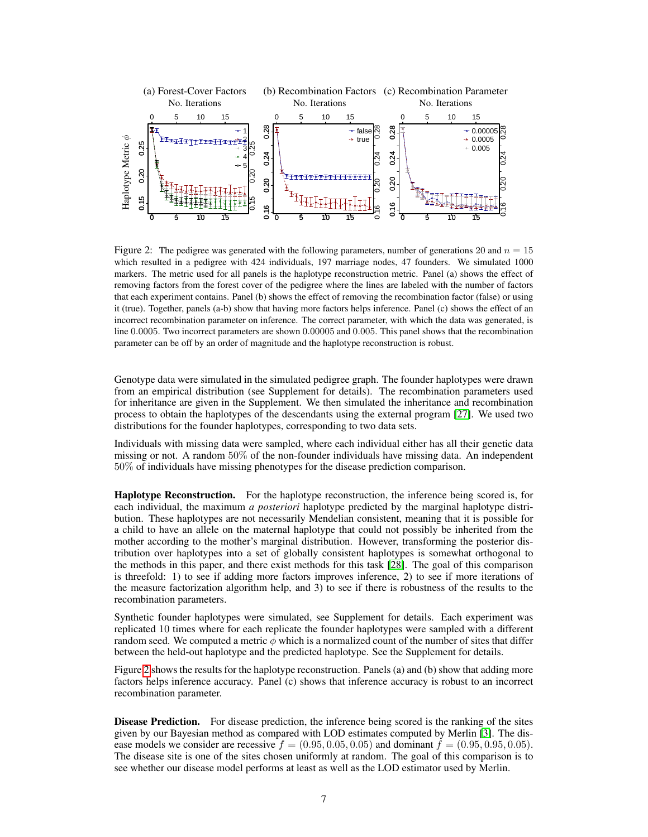

Figure 2: The pedigree was generated with the following parameters, number of generations 20 and  $n = 15$ which resulted in a pedigree with 424 individuals, 197 marriage nodes, 47 founders. We simulated 1000 markers. The metric used for all panels is the haplotype reconstruction metric. Panel (a) shows the effect of removing factors from the forest cover of the pedigree where the lines are labeled with the number of factors that each experiment contains. Panel (b) shows the effect of removing the recombination factor (false) or using it (true). Together, panels (a-b) show that having more factors helps inference. Panel (c) shows the effect of an incorrect recombination parameter on inference. The correct parameter, with which the data was generated, is line 0.0005. Two incorrect parameters are shown 0.00005 and 0.005. This panel shows that the recombination parameter can be off by an order of magnitude and the haplotype reconstruction is robust.

Genotype data were simulated in the simulated pedigree graph. The founder haplotypes were drawn from an empirical distribution (see Supplement for details). The recombination parameters used for inheritance are given in the Supplement. We then simulated the inheritance and recombination process to obtain the haplotypes of the descendants using the external program [27]. We used two distributions for the founder haplotypes, corresponding to two data sets.

Individuals with missing data were sampled, where each individual either has all their genetic data missing or not. A random 50% of the non-founder individuals have missing data. An independent 50% of individuals have missing phenotypes for the disease prediction comparison.

Haplotype Reconstruction. For the haplotype reconstruction, the inference being scored is, for each individual, the maximum *a posteriori* haplotype predicted by the marginal haplotype distribution. These haplotypes are not necessarily Mendelian consistent, meaning that it is possible for a child to have an allele on the maternal haplotype that could not possibly be inherited from the mother according to the mother's marginal distribution. However, transforming the posterior distribution over haplotypes into a set of globally consistent haplotypes is somewhat orthogonal to the methods in this paper, and there exist methods for this task [28]. The goal of this comparison is threefold: 1) to see if adding more factors improves inference, 2) to see if more iterations of the measure factorization algorithm help, and 3) to see if there is robustness of the results to the recombination parameters.

Synthetic founder haplotypes were simulated, see Supplement for details. Each experiment was replicated 10 times where for each replicate the founder haplotypes were sampled with a different random seed. We computed a metric  $\phi$  which is a normalized count of the number of sites that differ between the held-out haplotype and the predicted haplotype. See the Supplement for details.

Figure 2 shows the results for the haplotype reconstruction. Panels (a) and (b) show that adding more factors helps inference accuracy. Panel (c) shows that inference accuracy is robust to an incorrect recombination parameter.

Disease Prediction. For disease prediction, the inference being scored is the ranking of the sites given by our Bayesian method as compared with LOD estimates computed by Merlin [3]. The disease models we consider are recessive  $f = (0.95, 0.05, 0.05)$  and dominant  $f = (0.95, 0.95, 0.05)$ . The disease site is one of the sites chosen uniformly at random. The goal of this comparison is to see whether our disease model performs at least as well as the LOD estimator used by Merlin.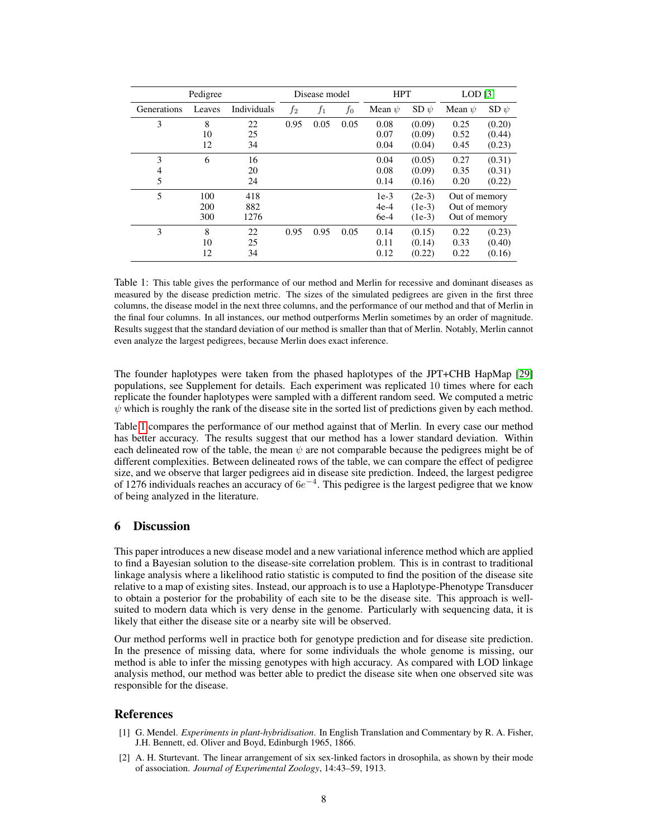| Pedigree    |        |                    | Disease model |       |         | <b>HPT</b>  |           | LOD[3]        |           |
|-------------|--------|--------------------|---------------|-------|---------|-------------|-----------|---------------|-----------|
| Generations | Leaves | <b>Individuals</b> | $f_2$         | $f_1$ | $f_{0}$ | Mean $\psi$ | SD $\psi$ | Mean $\psi$   | SD $\psi$ |
| 3           | 8      | 22                 | 0.95          | 0.05  | 0.05    | 0.08        | (0.09)    | 0.25          | (0.20)    |
|             | 10     | 25                 |               |       |         | 0.07        | (0.09)    | 0.52          | (0.44)    |
|             | 12     | 34                 |               |       |         | 0.04        | (0.04)    | 0.45          | (0.23)    |
| 3           | 6      | 16                 |               |       |         | 0.04        | (0.05)    | 0.27          | (0.31)    |
| 4           |        | 20                 |               |       |         | 0.08        | (0.09)    | 0.35          | (0.31)    |
| 5           |        | 24                 |               |       |         | 0.14        | (0.16)    | 0.20          | (0.22)    |
| 5           | 100    | 418                |               |       |         | $1e-3$      | $(2e-3)$  | Out of memory |           |
|             | 200    | 882                |               |       |         | $4e-4$      | $(1e-3)$  | Out of memory |           |
|             | 300    | 1276               |               |       |         | $6e-4$      | $(1e-3)$  | Out of memory |           |
| 3           | 8      | 22                 | 0.95          | 0.95  | 0.05    | 0.14        | (0.15)    | 0.22          | (0.23)    |
|             | 10     | 25                 |               |       |         | 0.11        | (0.14)    | 0.33          | (0.40)    |
|             | 12     | 34                 |               |       |         | 0.12        | (0.22)    | 0.22          | (0.16)    |

Table 1: This table gives the performance of our method and Merlin for recessive and dominant diseases as measured by the disease prediction metric. The sizes of the simulated pedigrees are given in the first three columns, the disease model in the next three columns, and the performance of our method and that of Merlin in the final four columns. In all instances, our method outperforms Merlin sometimes by an order of magnitude. Results suggest that the standard deviation of our method is smaller than that of Merlin. Notably, Merlin cannot even analyze the largest pedigrees, because Merlin does exact inference.

The founder haplotypes were taken from the phased haplotypes of the JPT+CHB HapMap [29] populations, see Supplement for details. Each experiment was replicated 10 times where for each replicate the founder haplotypes were sampled with a different random seed. We computed a metric  $\psi$  which is roughly the rank of the disease site in the sorted list of predictions given by each method.

Table 1 compares the performance of our method against that of Merlin. In every case our method has better accuracy. The results suggest that our method has a lower standard deviation. Within each delineated row of the table, the mean  $\psi$  are not comparable because the pedigrees might be of different complexities. Between delineated rows of the table, we can compare the effect of pedigree size, and we observe that larger pedigrees aid in disease site prediction. Indeed, the largest pedigree of 1276 individuals reaches an accuracy of  $6e^{-4}$ . This pedigree is the largest pedigree that we know of being analyzed in the literature.

## 6 Discussion

This paper introduces a new disease model and a new variational inference method which are applied to find a Bayesian solution to the disease-site correlation problem. This is in contrast to traditional linkage analysis where a likelihood ratio statistic is computed to find the position of the disease site relative to a map of existing sites. Instead, our approach is to use a Haplotype-Phenotype Transducer to obtain a posterior for the probability of each site to be the disease site. This approach is wellsuited to modern data which is very dense in the genome. Particularly with sequencing data, it is likely that either the disease site or a nearby site will be observed.

Our method performs well in practice both for genotype prediction and for disease site prediction. In the presence of missing data, where for some individuals the whole genome is missing, our method is able to infer the missing genotypes with high accuracy. As compared with LOD linkage analysis method, our method was better able to predict the disease site when one observed site was responsible for the disease.

#### References

- [1] G. Mendel. *Experiments in plant-hybridisation*. In English Translation and Commentary by R. A. Fisher, J.H. Bennett, ed. Oliver and Boyd, Edinburgh 1965, 1866.
- [2] A. H. Sturtevant. The linear arrangement of six sex-linked factors in drosophila, as shown by their mode of association. *Journal of Experimental Zoology*, 14:43–59, 1913.